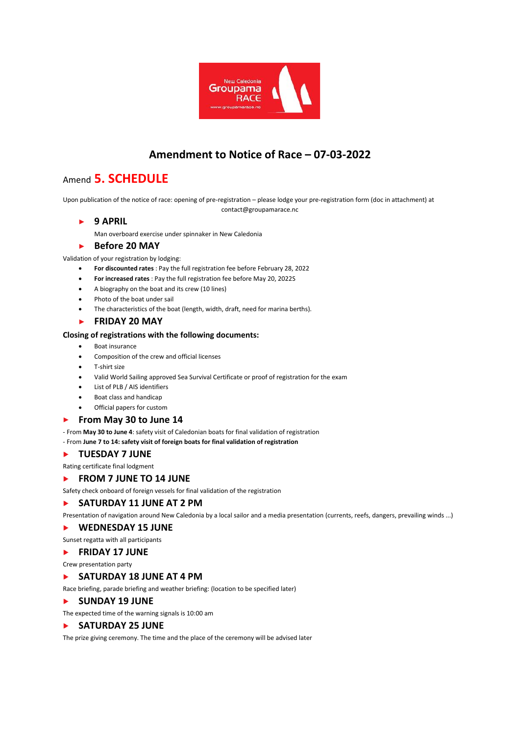

# **Amendment to Notice of Race – 07-03-2022**

contact@groupamarace.nc

# Amend **5. SCHEDULE**

Upon publication of the notice of race: opening of pre-registration – please lodge your pre-registration form (doc in attachment) at

## **9 APRIL**

Man overboard exercise under spinnaker in New Caledonia

#### **Before 20 MAY** ь

Validation of your registration by lodging:

- **For discounted rates** : Pay the full registration fee before February 28, 2022
- **For increased rates** : Pay the full registration fee before May 20, 2022S
- A biography on the boat and its crew (10 lines)
- Photo of the boat under sail
- The characteristics of the boat (length, width, draft, need for marina berths).

## **FRIDAY 20 MAY**

### **Closing of registrations with the following documents:**

- Boat insurance
- Composition of the crew and official licenses
- T-shirt size
- Valid World Sailing approved Sea Survival Certificate or proof of registration for the exam
- List of PLB / AIS identifiers
- Boat class and handicap
- Official papers for custom

#### **From May 30 to June 14**  $\blacksquare$

- From **May 30 to June 4**: safety visit of Caledonian boats for final validation of registration

### - From **June 7 to 14: safety visit of foreign boats for final validation of registration**

### **TUESDAY 7 JUNE**

Rating certificate final lodgment

#### **FROM 7 JUNE TO 14 JUNE**  $\blacktriangleright$

Safety check onboard of foreign vessels for final validation of the registration

## **SATURDAY 11 JUNE AT 2 PM**

Presentation of navigation around New Caledonia by a local sailor and a media presentation (currents, reefs, dangers, prevailing winds ...)

#### **WEDNESDAY 15 JUNE**  $\mathbf{r}$

Sunset regatta with all participants

### **FRIDAY 17 JUNE**

Crew presentation party

#### **SATURDAY 18 JUNE AT 4 PM**  $\blacktriangleright$

Race briefing, parade briefing and weather briefing: (location to be specified later)

#### **SUNDAY 19 JUNE**  $\mathbf{E}$  .

The expected time of the warning signals is 10:00 am

### **SATURDAY 25 JUNE**

The prize giving ceremony. The time and the place of the ceremony will be advised later